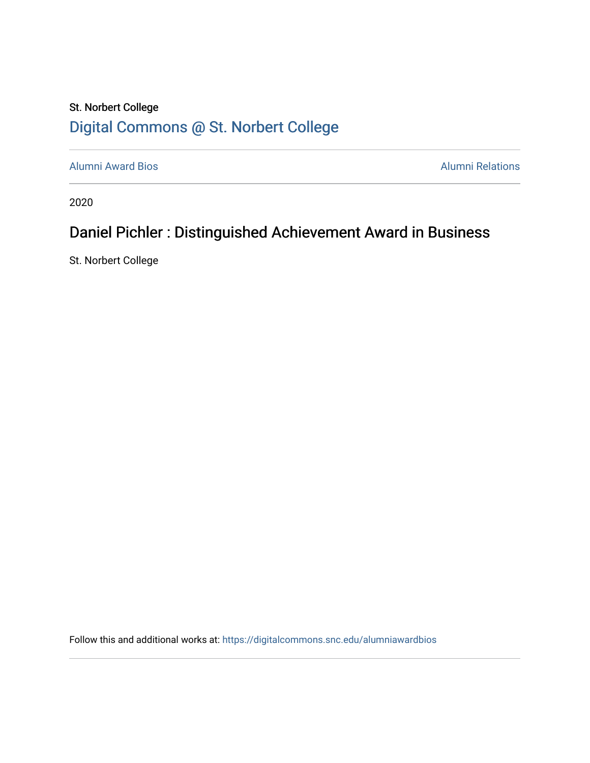## St. Norbert College [Digital Commons @ St. Norbert College](https://digitalcommons.snc.edu/)

[Alumni Award Bios](https://digitalcommons.snc.edu/alumniawardbios) **Alumni Relations** Alumni Relations

2020

# Daniel Pichler : Distinguished Achievement Award in Business

St. Norbert College

Follow this and additional works at: [https://digitalcommons.snc.edu/alumniawardbios](https://digitalcommons.snc.edu/alumniawardbios?utm_source=digitalcommons.snc.edu%2Falumniawardbios%2F62&utm_medium=PDF&utm_campaign=PDFCoverPages)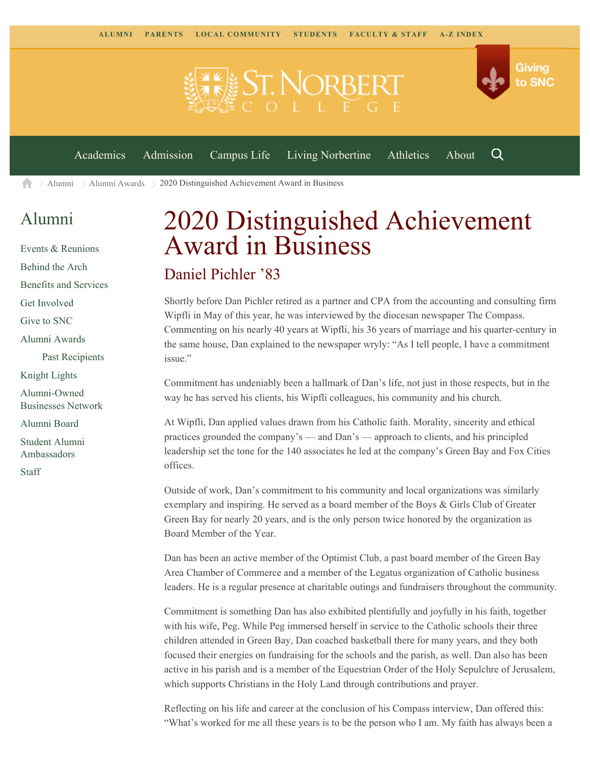

 $\geq$  [Alumni](https://www.snc.edu/alumni/)  $\geq$  [Alumni Awards](https://www.snc.edu/alumni/awards/)  $\geq$  2020 Distinguished Achievement Award in Business A

## [Alumni](https://www.snc.edu/alumni/index.html)

[Events & Reunions](https://www.snc.edu/alumni/event/index.html) [Behind the Arch](https://www.snc.edu/alumni/event/behindthearch/) [Benefits and Services](https://www.snc.edu/alumni/benefits.html) [Get Involved](https://www.snc.edu/alumni/getinvolved.html) [Give to SNC](http://giving.snc.edu/) [Alumni Awards](https://www.snc.edu/alumni/awards/index.html) [Past Recipients](https://www.snc.edu/alumni/awards/recipients.html) [Knight Lights](https://www.snc.edu/alumni/knightlights/index.html) [Alumni-Owned](https://www.snc.edu/alumni/directory/index.html) [Businesses Network](https://www.snc.edu/alumni/directory/index.html) [Alumni Board](https://www.snc.edu/alumni/alumniboard.html) [Student Alumni](https://www.snc.edu/alumni/saa.html) [Ambassadors](https://www.snc.edu/alumni/saa.html) [Staff](https://www.snc.edu/alumni/contactus.html)

# 2020 Distinguished Achievement Award in Business

### Daniel Pichler '83

Shortly before Dan Pichler retired as a partner and CPA from the accounting and consulting firm Wipfli in May of this year, he was interviewed by the diocesan newspaper The Compass. Commenting on his nearly 40 years at Wipfli, his 36 years of marriage and his quarter-century in the same house, Dan explained to the newspaper wryly: "As I tell people, I have a commitment issue."

Commitment has undeniably been a hallmark of Dan's life, not just in those respects, but in the way he has served his clients, his Wipfli colleagues, his community and his church.

At Wipfli, Dan applied values drawn from his Catholic faith. Morality, sincerity and ethical practices grounded the company's — and Dan's — approach to clients, and his principled leadership set the tone for the 140 associates he led at the company's Green Bay and Fox Cities offices.

Outside of work, Dan's commitment to his community and local organizations was similarly exemplary and inspiring. He served as a board member of the Boys & Girls Club of Greater Green Bay for nearly 20 years, and is the only person twice honored by the organization as Board Member of the Year.

Dan has been an active member of the Optimist Club, a past board member of the Green Bay Area Chamber of Commerce and a member of the Legatus organization of Catholic business leaders. He is a regular presence at charitable outings and fundraisers throughout the community.

Commitment is something Dan has also exhibited plentifully and joyfully in his faith, together with his wife, Peg. While Peg immersed herself in service to the Catholic schools their three children attended in Green Bay, Dan coached basketball there for many years, and they both focused their energies on fundraising for the schools and the parish, as well. Dan also has been active in his parish and is a member of the Equestrian Order of the Holy Sepulchre of Jerusalem, which supports Christians in the Holy Land through contributions and prayer.

Reflecting on his life and career at the conclusion of his Compass interview, Dan offered this: "What's worked for me all these years is to be the person who I am. My faith has always been a